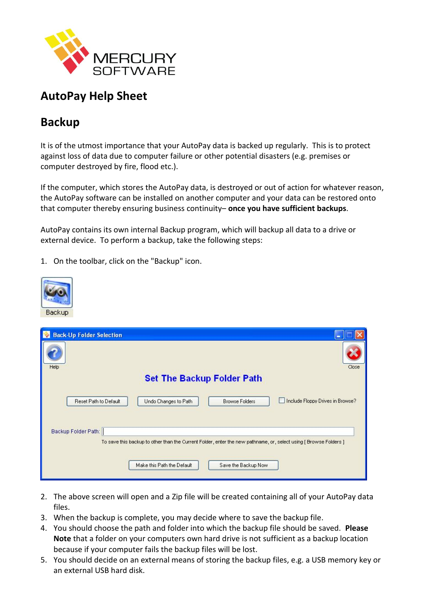

# **AutoPay Help Sheet**

# **Backup**

It is of the utmost importance that your AutoPay data is backed up regularly. This is to protect against loss of data due to computer failure or other potential disasters (e.g. premises or computer destroyed by fire, flood etc.).

If the computer, which stores the AutoPay data, is destroyed or out of action for whatever reason, the AutoPay software can be installed on another computer and your data can be restored onto that computer thereby ensuring business continuity– **once you have sufficient backups**.

AutoPay contains its own internal Backup program, which will backup all data to a drive or external device. To perform a backup, take the following steps:

1. On the toolbar, click on the "Backup" icon.



| <b>Back-Up Folder Selection</b><br><b>I</b> W                                                                   |                                                   |                                  |
|-----------------------------------------------------------------------------------------------------------------|---------------------------------------------------|----------------------------------|
| Help                                                                                                            |                                                   | Close                            |
| <b>Set The Backup Folder Path</b>                                                                               |                                                   |                                  |
|                                                                                                                 |                                                   |                                  |
| Reset Path to Default                                                                                           | Undo Changes to Path<br><b>Browse Folders</b>     | Include Floppy Drives in Browse? |
|                                                                                                                 |                                                   |                                  |
| Backup Folder Path:                                                                                             |                                                   |                                  |
| To save this backup to other than the Current Folder, enter the new pathname, or, select using [Browse Folders] |                                                   |                                  |
|                                                                                                                 |                                                   |                                  |
|                                                                                                                 | Make this Path the Default<br>Save the Backup Now |                                  |
|                                                                                                                 |                                                   |                                  |

- 2. The above screen will open and a Zip file will be created containing all of your AutoPay data files.
- 3. When the backup is complete, you may decide where to save the backup file.
- 4. You should choose the path and folder into which the backup file should be saved. **Please Note** that a folder on your computers own hard drive is not sufficient as a backup location because if your computer fails the backup files will be lost.
- 5. You should decide on an external means of storing the backup files, e.g. a USB memory key or an external USB hard disk.